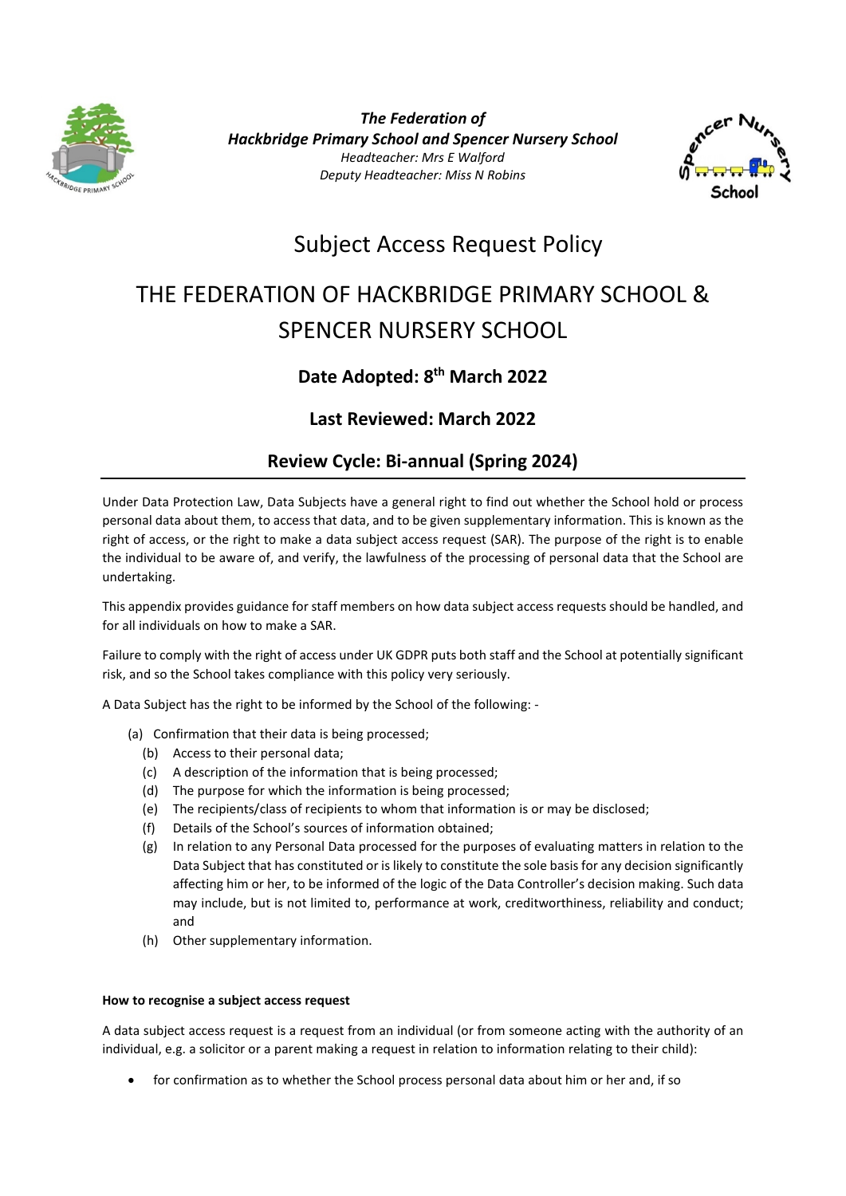

*The Federation of Hackbridge Primary School and Spencer Nursery School Headteacher: Mrs E Walford Deputy Headteacher: Miss N Robins*



# Subject Access Request Policy

# THE FEDERATION OF HACKBRIDGE PRIMARY SCHOOL & SPENCER NURSERY SCHOOL

# **Date Adopted: 8th March 2022**

# **Last Reviewed: March 2022**

# **Review Cycle: Bi-annual (Spring 2024)**

Under Data Protection Law, Data Subjects have a general right to find out whether the School hold or process personal data about them, to access that data, and to be given supplementary information. This is known as the right of access, or the right to make a data subject access request (SAR). The purpose of the right is to enable the individual to be aware of, and verify, the lawfulness of the processing of personal data that the School are undertaking.

This appendix provides guidance for staff members on how data subject access requests should be handled, and for all individuals on how to make a SAR.

Failure to comply with the right of access under UK GDPR puts both staff and the School at potentially significant risk, and so the School takes compliance with this policy very seriously.

A Data Subject has the right to be informed by the School of the following: -

- (a) Confirmation that their data is being processed;
	- (b) Access to their personal data;
	- (c) A description of the information that is being processed;
	- (d) The purpose for which the information is being processed;
	- (e) The recipients/class of recipients to whom that information is or may be disclosed;
	- (f) Details of the School's sources of information obtained;
	- (g) In relation to any Personal Data processed for the purposes of evaluating matters in relation to the Data Subject that has constituted or is likely to constitute the sole basis for any decision significantly affecting him or her, to be informed of the logic of the Data Controller's decision making. Such data may include, but is not limited to, performance at work, creditworthiness, reliability and conduct; and
	- (h) Other supplementary information.

# **How to recognise a subject access request**

A data subject access request is a request from an individual (or from someone acting with the authority of an individual, e.g. a solicitor or a parent making a request in relation to information relating to their child):

• for confirmation as to whether the School process personal data about him or her and, if so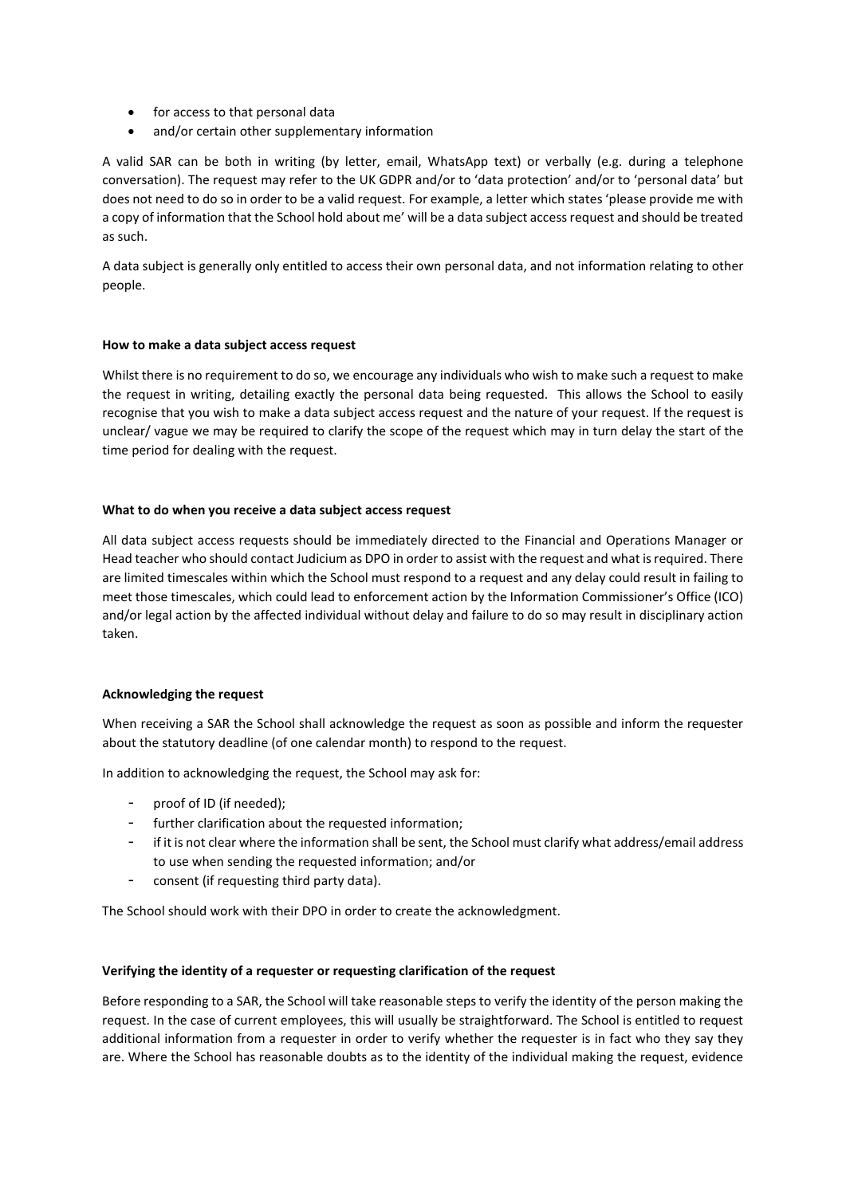- for access to that personal data
- and/or certain other supplementary information

A valid SAR can be both in writing (by letter, email, WhatsApp text) or verbally (e.g. during a telephone conversation). The request may refer to the UK GDPR and/or to 'data protection' and/or to 'personal data' but does not need to do so in order to be a valid request. For example, a letter which states 'please provide me with a copy of information that the School hold about me' will be a data subject access request and should be treated as such.

A data subject is generally only entitled to access their own personal data, and not information relating to other people.

# **How to make a data subject access request**

Whilst there is no requirement to do so, we encourage any individuals who wish to make such a request to make the request in writing, detailing exactly the personal data being requested. This allows the School to easily recognise that you wish to make a data subject access request and the nature of your request. If the request is unclear/ vague we may be required to clarify the scope of the request which may in turn delay the start of the time period for dealing with the request.

#### **What to do when you receive a data subject access request**

All data subject access requests should be immediately directed to the Financial and Operations Manager or Head teacher who should contact Judicium as DPO in order to assist with the request and what is required. There are limited timescales within which the School must respond to a request and any delay could result in failing to meet those timescales, which could lead to enforcement action by the Information Commissioner's Office (ICO) and/or legal action by the affected individual without delay and failure to do so may result in disciplinary action taken.

# **Acknowledging the request**

When receiving a SAR the School shall acknowledge the request as soon as possible and inform the requester about the statutory deadline (of one calendar month) to respond to the request.

In addition to acknowledging the request, the School may ask for:

- proof of ID (if needed);
- further clarification about the requested information;
- if it is not clear where the information shall be sent, the School must clarify what address/email address to use when sending the requested information; and/or
- consent (if requesting third party data).

The School should work with their DPO in order to create the acknowledgment.

# **Verifying the identity of a requester or requesting clarification of the request**

Before responding to a SAR, the School will take reasonable steps to verify the identity of the person making the request. In the case of current employees, this will usually be straightforward. The School is entitled to request additional information from a requester in order to verify whether the requester is in fact who they say they are. Where the School has reasonable doubts as to the identity of the individual making the request, evidence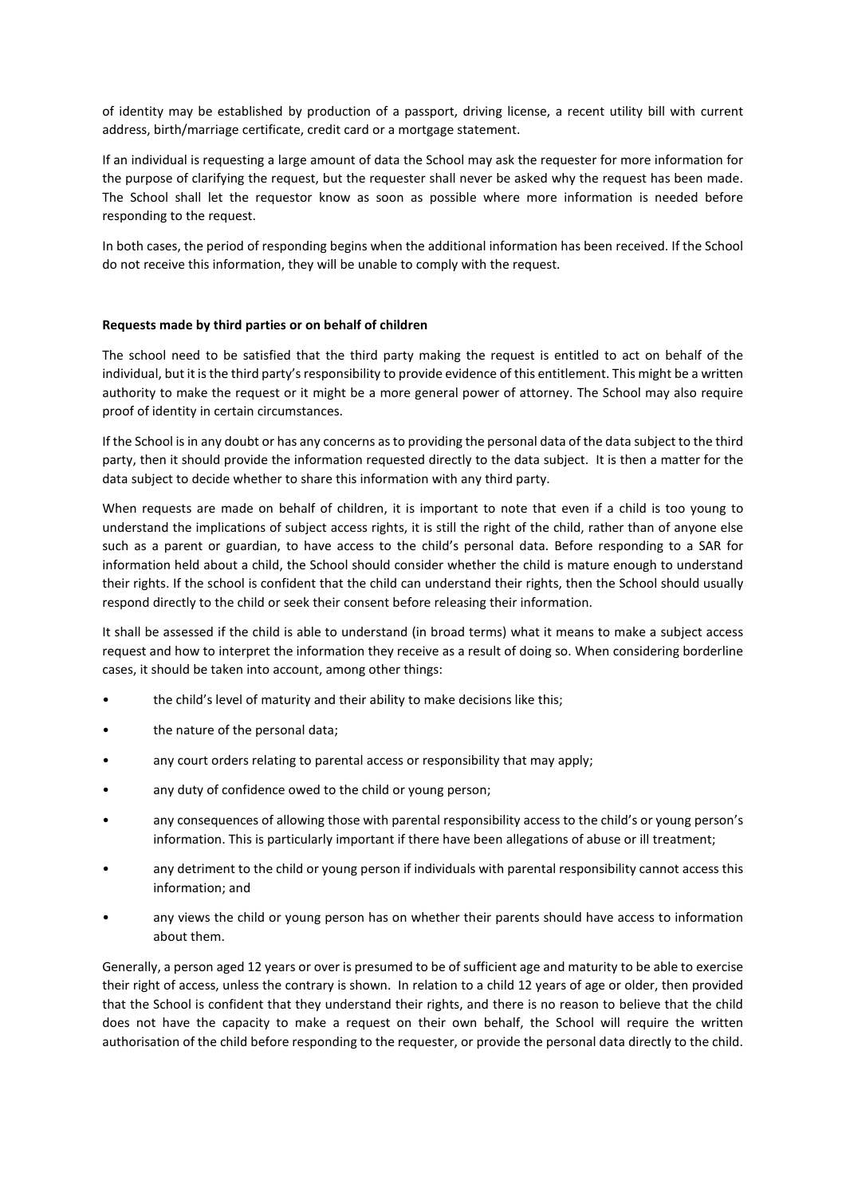of identity may be established by production of a passport, driving license, a recent utility bill with current address, birth/marriage certificate, credit card or a mortgage statement.

If an individual is requesting a large amount of data the School may ask the requester for more information for the purpose of clarifying the request, but the requester shall never be asked why the request has been made. The School shall let the requestor know as soon as possible where more information is needed before responding to the request.

In both cases, the period of responding begins when the additional information has been received. If the School do not receive this information, they will be unable to comply with the request.

#### **Requests made by third parties or on behalf of children**

The school need to be satisfied that the third party making the request is entitled to act on behalf of the individual, but it is the third party's responsibility to provide evidence of this entitlement. This might be a written authority to make the request or it might be a more general power of attorney. The School may also require proof of identity in certain circumstances.

If the School is in any doubt or has any concerns as to providing the personal data of the data subject to the third party, then it should provide the information requested directly to the data subject. It is then a matter for the data subject to decide whether to share this information with any third party.

When requests are made on behalf of children, it is important to note that even if a child is too young to understand the implications of subject access rights, it is still the right of the child, rather than of anyone else such as a parent or guardian, to have access to the child's personal data. Before responding to a SAR for information held about a child, the School should consider whether the child is mature enough to understand their rights. If the school is confident that the child can understand their rights, then the School should usually respond directly to the child or seek their consent before releasing their information.

It shall be assessed if the child is able to understand (in broad terms) what it means to make a subject access request and how to interpret the information they receive as a result of doing so. When considering borderline cases, it should be taken into account, among other things:

- the child's level of maturity and their ability to make decisions like this;
- the nature of the personal data;
- any court orders relating to parental access or responsibility that may apply;
- any duty of confidence owed to the child or young person;
- any consequences of allowing those with parental responsibility access to the child's or young person's information. This is particularly important if there have been allegations of abuse or ill treatment;
- any detriment to the child or young person if individuals with parental responsibility cannot access this information; and
- any views the child or young person has on whether their parents should have access to information about them.

Generally, a person aged 12 years or over is presumed to be of sufficient age and maturity to be able to exercise their right of access, unless the contrary is shown. In relation to a child 12 years of age or older, then provided that the School is confident that they understand their rights, and there is no reason to believe that the child does not have the capacity to make a request on their own behalf, the School will require the written authorisation of the child before responding to the requester, or provide the personal data directly to the child.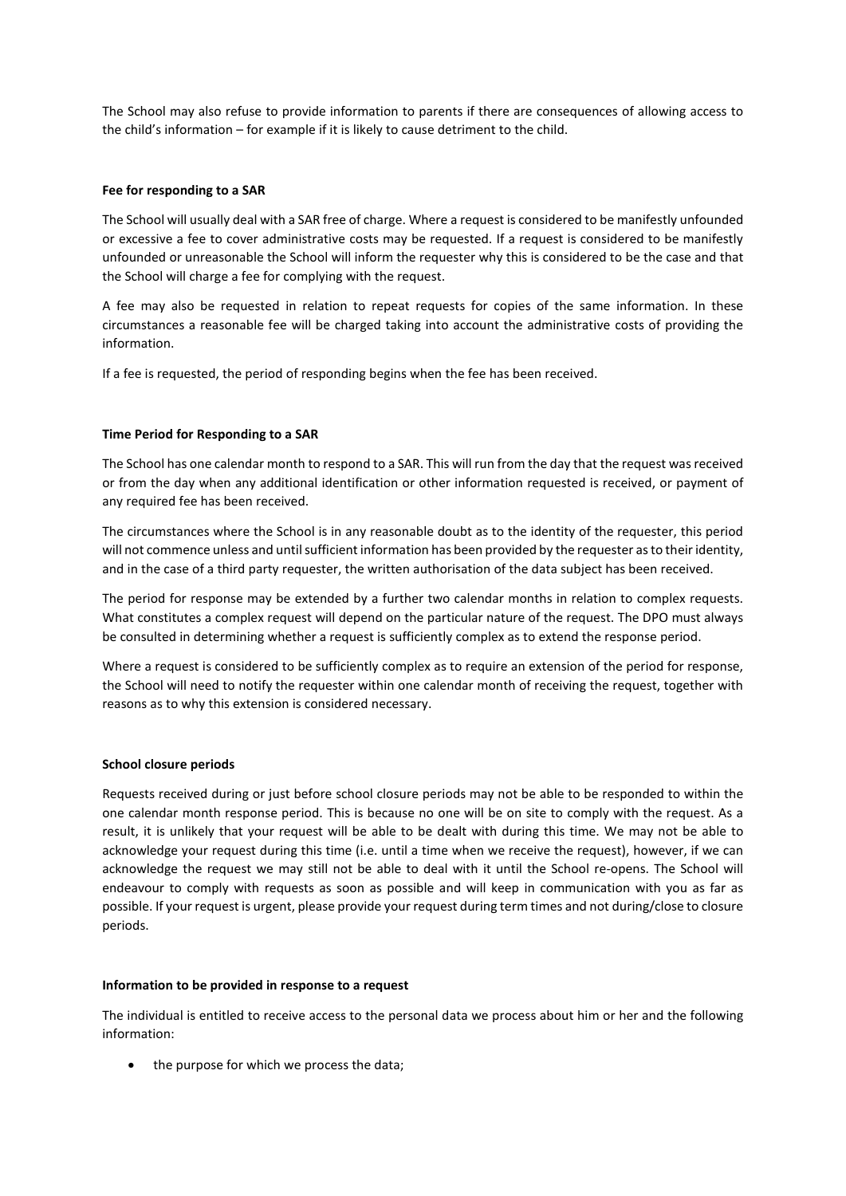The School may also refuse to provide information to parents if there are consequences of allowing access to the child's information – for example if it is likely to cause detriment to the child.

#### **Fee for responding to a SAR**

The School will usually deal with a SAR free of charge. Where a request is considered to be manifestly unfounded or excessive a fee to cover administrative costs may be requested. If a request is considered to be manifestly unfounded or unreasonable the School will inform the requester why this is considered to be the case and that the School will charge a fee for complying with the request.

A fee may also be requested in relation to repeat requests for copies of the same information. In these circumstances a reasonable fee will be charged taking into account the administrative costs of providing the information.

If a fee is requested, the period of responding begins when the fee has been received.

#### **Time Period for Responding to a SAR**

The School has one calendar month to respond to a SAR. This will run from the day that the request was received or from the day when any additional identification or other information requested is received, or payment of any required fee has been received.

The circumstances where the School is in any reasonable doubt as to the identity of the requester, this period will not commence unless and until sufficient information has been provided by the requester as to their identity, and in the case of a third party requester, the written authorisation of the data subject has been received.

The period for response may be extended by a further two calendar months in relation to complex requests. What constitutes a complex request will depend on the particular nature of the request. The DPO must always be consulted in determining whether a request is sufficiently complex as to extend the response period.

Where a request is considered to be sufficiently complex as to require an extension of the period for response, the School will need to notify the requester within one calendar month of receiving the request, together with reasons as to why this extension is considered necessary.

#### **School closure periods**

Requests received during or just before school closure periods may not be able to be responded to within the one calendar month response period. This is because no one will be on site to comply with the request. As a result, it is unlikely that your request will be able to be dealt with during this time. We may not be able to acknowledge your request during this time (i.e. until a time when we receive the request), however, if we can acknowledge the request we may still not be able to deal with it until the School re-opens. The School will endeavour to comply with requests as soon as possible and will keep in communication with you as far as possible. If your request is urgent, please provide your request during term times and not during/close to closure periods.

#### **Information to be provided in response to a request**

The individual is entitled to receive access to the personal data we process about him or her and the following information:

the purpose for which we process the data;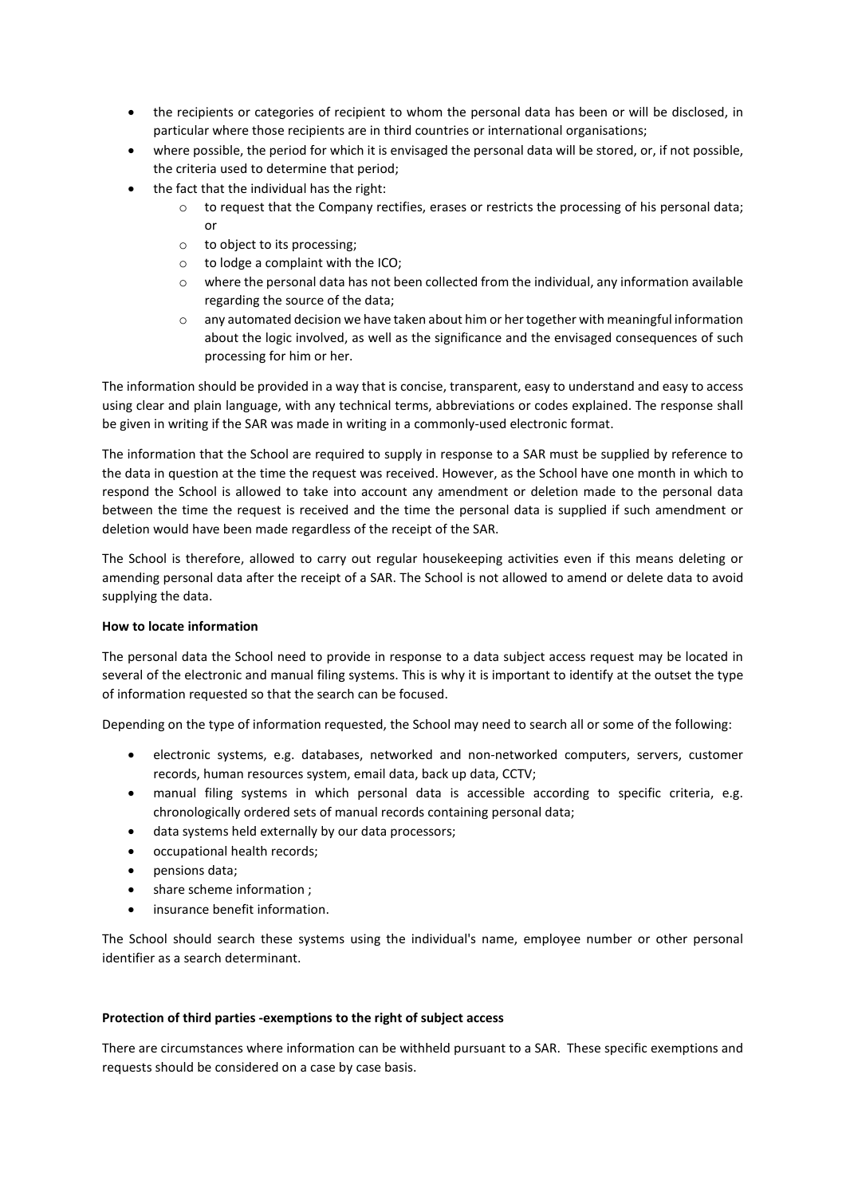- the recipients or categories of recipient to whom the personal data has been or will be disclosed, in particular where those recipients are in third countries or international organisations;
- where possible, the period for which it is envisaged the personal data will be stored, or, if not possible, the criteria used to determine that period;
- the fact that the individual has the right:
	- o to request that the Company rectifies, erases or restricts the processing of his personal data; or
	- o to object to its processing;
	- o to lodge a complaint with the ICO;
	- $\circ$  where the personal data has not been collected from the individual, any information available regarding the source of the data;
	- o any automated decision we have taken about him or her together with meaningful information about the logic involved, as well as the significance and the envisaged consequences of such processing for him or her.

The information should be provided in a way that is concise, transparent, easy to understand and easy to access using clear and plain language, with any technical terms, abbreviations or codes explained. The response shall be given in writing if the SAR was made in writing in a commonly-used electronic format.

The information that the School are required to supply in response to a SAR must be supplied by reference to the data in question at the time the request was received. However, as the School have one month in which to respond the School is allowed to take into account any amendment or deletion made to the personal data between the time the request is received and the time the personal data is supplied if such amendment or deletion would have been made regardless of the receipt of the SAR.

The School is therefore, allowed to carry out regular housekeeping activities even if this means deleting or amending personal data after the receipt of a SAR. The School is not allowed to amend or delete data to avoid supplying the data.

# **How to locate information**

The personal data the School need to provide in response to a data subject access request may be located in several of the electronic and manual filing systems. This is why it is important to identify at the outset the type of information requested so that the search can be focused.

Depending on the type of information requested, the School may need to search all or some of the following:

- electronic systems, e.g. databases, networked and non-networked computers, servers, customer records, human resources system, email data, back up data, CCTV;
- manual filing systems in which personal data is accessible according to specific criteria, e.g. chronologically ordered sets of manual records containing personal data;
- data systems held externally by our data processors;
- occupational health records;
- pensions data;
- share scheme information ;
- insurance benefit information.

The School should search these systems using the individual's name, employee number or other personal identifier as a search determinant.

# **Protection of third parties -exemptions to the right of subject access**

There are circumstances where information can be withheld pursuant to a SAR. These specific exemptions and requests should be considered on a case by case basis.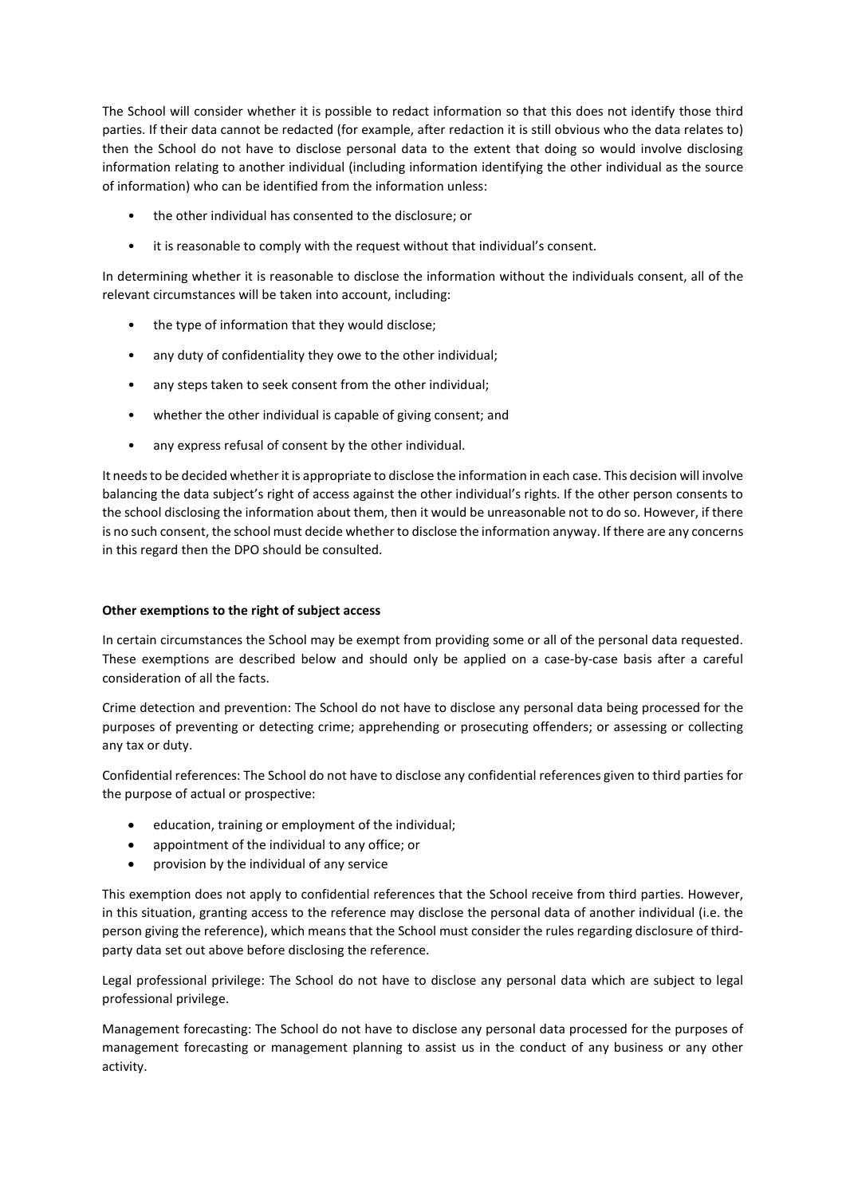The School will consider whether it is possible to redact information so that this does not identify those third parties. If their data cannot be redacted (for example, after redaction it is still obvious who the data relates to) then the School do not have to disclose personal data to the extent that doing so would involve disclosing information relating to another individual (including information identifying the other individual as the source of information) who can be identified from the information unless:

- the other individual has consented to the disclosure; or
- it is reasonable to comply with the request without that individual's consent.

In determining whether it is reasonable to disclose the information without the individuals consent, all of the relevant circumstances will be taken into account, including:

- the type of information that they would disclose;
- any duty of confidentiality they owe to the other individual;
- any steps taken to seek consent from the other individual;
- whether the other individual is capable of giving consent; and
- any express refusal of consent by the other individual.

It needs to be decided whether it is appropriate to disclose the information in each case. This decision will involve balancing the data subject's right of access against the other individual's rights. If the other person consents to the school disclosing the information about them, then it would be unreasonable not to do so. However, if there is no such consent, the school must decide whether to disclose the information anyway. If there are any concerns in this regard then the DPO should be consulted.

# **Other exemptions to the right of subject access**

In certain circumstances the School may be exempt from providing some or all of the personal data requested. These exemptions are described below and should only be applied on a case-by-case basis after a careful consideration of all the facts.

Crime detection and prevention: The School do not have to disclose any personal data being processed for the purposes of preventing or detecting crime; apprehending or prosecuting offenders; or assessing or collecting any tax or duty.

Confidential references: The School do not have to disclose any confidential references given to third parties for the purpose of actual or prospective:

- education, training or employment of the individual;
- appointment of the individual to any office; or
- provision by the individual of any service

This exemption does not apply to confidential references that the School receive from third parties. However, in this situation, granting access to the reference may disclose the personal data of another individual (i.e. the person giving the reference), which means that the School must consider the rules regarding disclosure of thirdparty data set out above before disclosing the reference.

Legal professional privilege: The School do not have to disclose any personal data which are subject to legal professional privilege.

Management forecasting: The School do not have to disclose any personal data processed for the purposes of management forecasting or management planning to assist us in the conduct of any business or any other activity.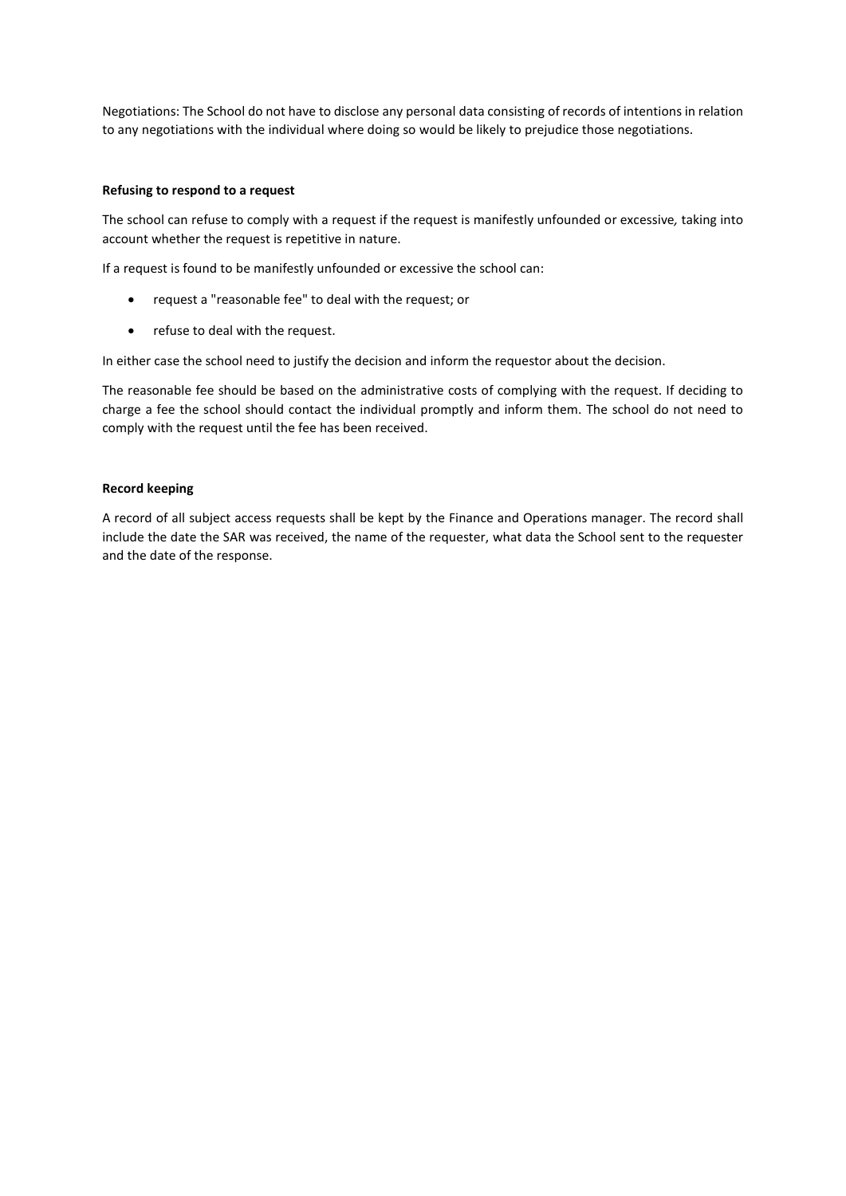Negotiations: The School do not have to disclose any personal data consisting of records of intentions in relation to any negotiations with the individual where doing so would be likely to prejudice those negotiations.

#### **Refusing to respond to a request**

The school can refuse to comply with a request if the request is manifestly unfounded or excessive*,* taking into account whether the request is repetitive in nature.

If a request is found to be manifestly unfounded or excessive the school can:

- request a "reasonable fee" to deal with the request; or
- refuse to deal with the request.

In either case the school need to justify the decision and inform the requestor about the decision.

The reasonable fee should be based on the administrative costs of complying with the request. If deciding to charge a fee the school should contact the individual promptly and inform them. The school do not need to comply with the request until the fee has been received.

# **Record keeping**

A record of all subject access requests shall be kept by the Finance and Operations manager. The record shall include the date the SAR was received, the name of the requester, what data the School sent to the requester and the date of the response.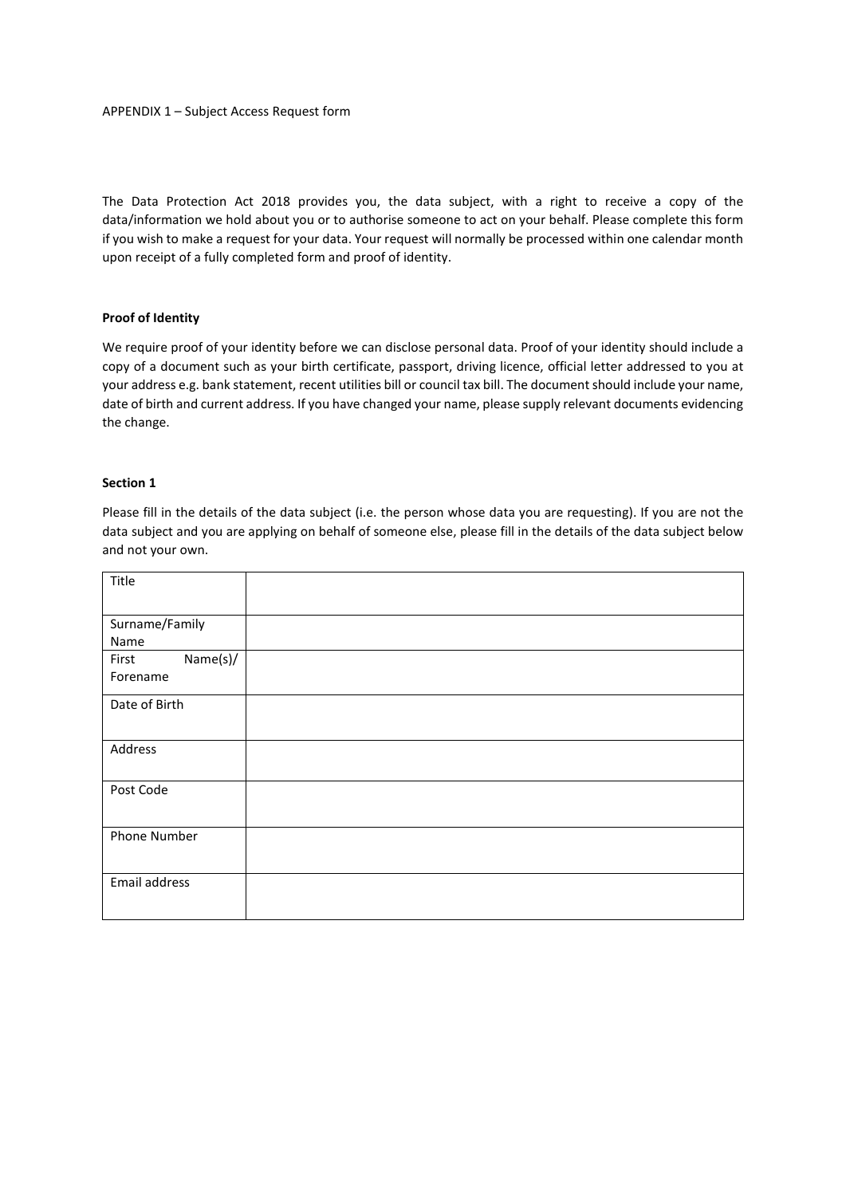The Data Protection Act 2018 provides you, the data subject, with a right to receive a copy of the data/information we hold about you or to authorise someone to act on your behalf. Please complete this form if you wish to make a request for your data. Your request will normally be processed within one calendar month upon receipt of a fully completed form and proof of identity.

# **Proof of Identity**

We require proof of your identity before we can disclose personal data. Proof of your identity should include a copy of a document such as your birth certificate, passport, driving licence, official letter addressed to you at your address e.g. bank statement, recent utilities bill or council tax bill. The document should include your name, date of birth and current address. If you have changed your name, please supply relevant documents evidencing the change.

#### **Section 1**

Please fill in the details of the data subject (i.e. the person whose data you are requesting). If you are not the data subject and you are applying on behalf of someone else, please fill in the details of the data subject below and not your own.

| Title                         |  |
|-------------------------------|--|
| Surname/Family<br>Name        |  |
| Name(s)/<br>First<br>Forename |  |
| Date of Birth                 |  |
| Address                       |  |
| Post Code                     |  |
| <b>Phone Number</b>           |  |
| Email address                 |  |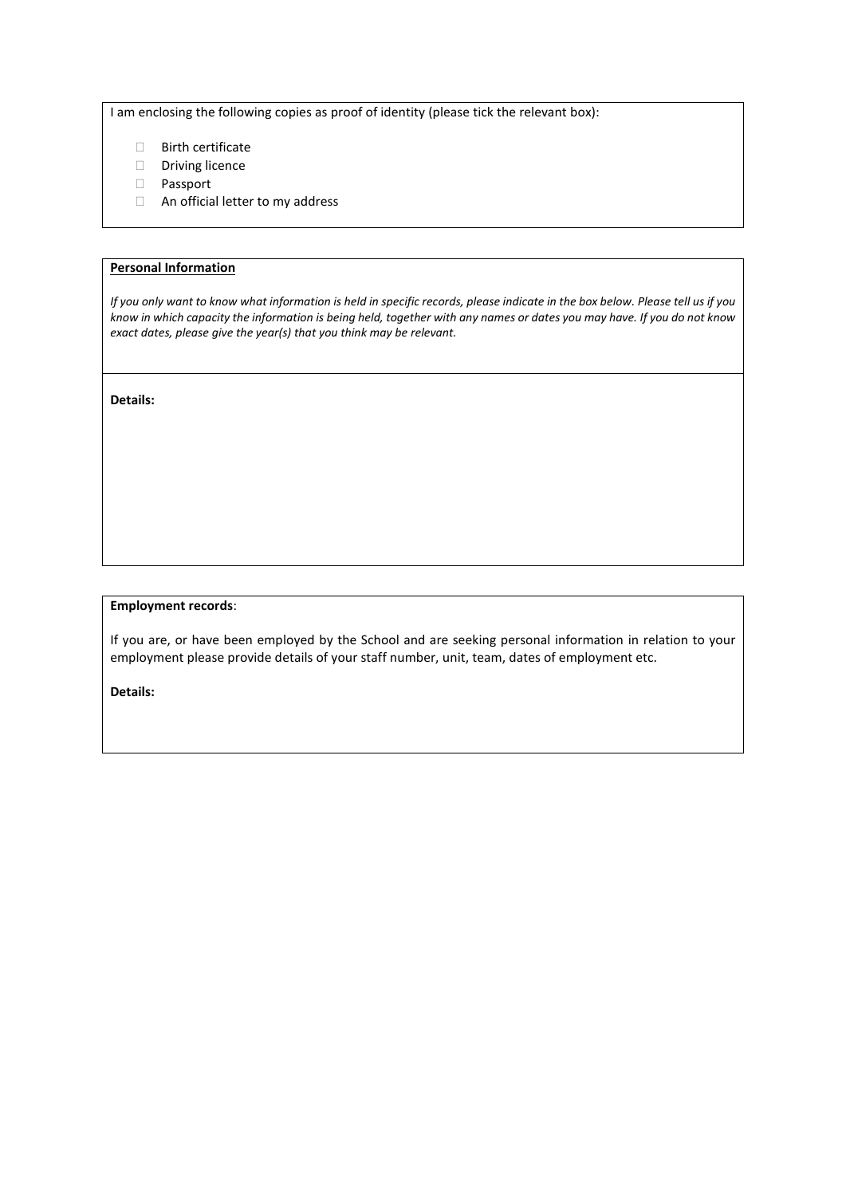I am enclosing the following copies as proof of identity (please tick the relevant box):

- Birth certificate
- Driving licence
- Passport
- An official letter to my address

#### **Personal Information**

*If you only want to know what information is held in specific records, please indicate in the box below. Please tell us if you know in which capacity the information is being held, together with any names or dates you may have. If you do not know exact dates, please give the year(s) that you think may be relevant.* 

**Details:** 

#### **Employment records**:

If you are, or have been employed by the School and are seeking personal information in relation to your employment please provide details of your staff number, unit, team, dates of employment etc.

**Details:**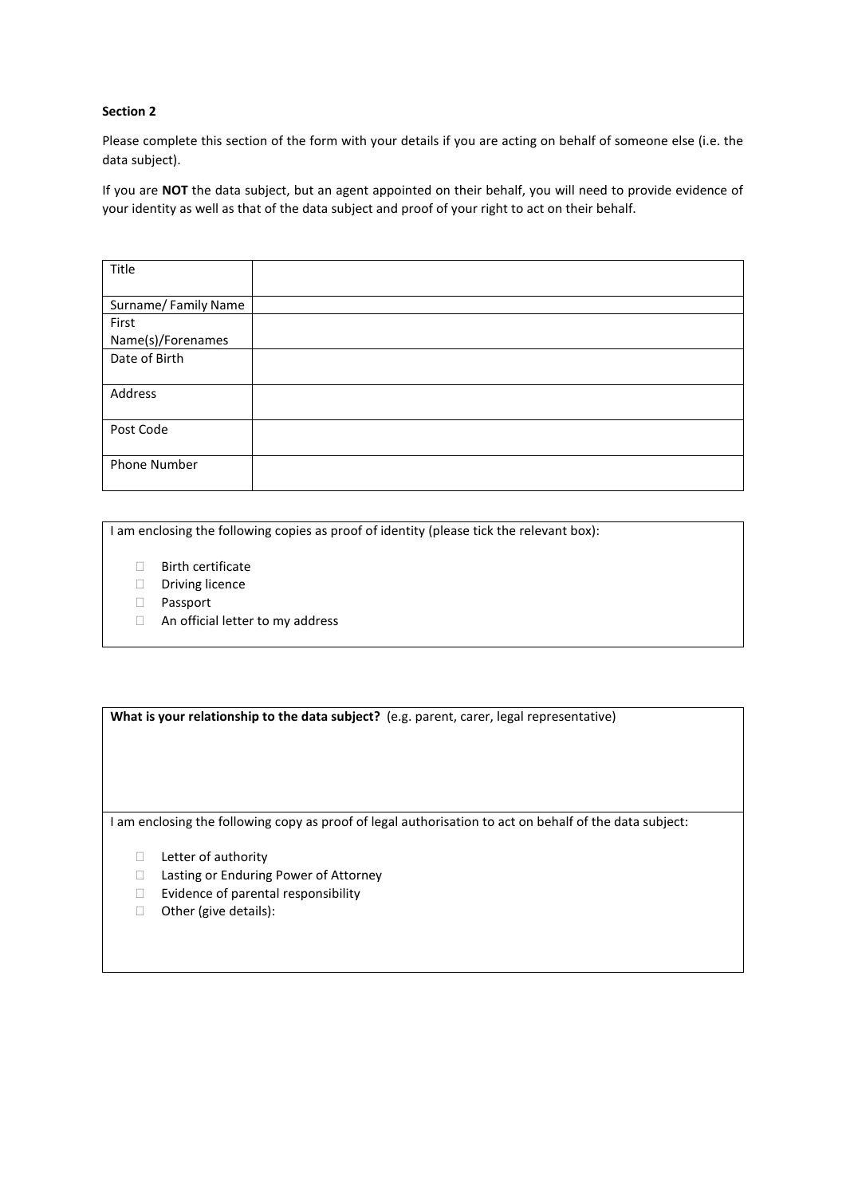# **Section 2**

Please complete this section of the form with your details if you are acting on behalf of someone else (i.e. the data subject).

If you are **NOT** the data subject, but an agent appointed on their behalf, you will need to provide evidence of your identity as well as that of the data subject and proof of your right to act on their behalf.

| Title               |  |
|---------------------|--|
|                     |  |
| Surname/Family Name |  |
| First               |  |
| Name(s)/Forenames   |  |
| Date of Birth       |  |
|                     |  |
| Address             |  |
|                     |  |
| Post Code           |  |
|                     |  |
| Phone Number        |  |
|                     |  |

I am enclosing the following copies as proof of identity (please tick the relevant box):

- Birth certificate
- Driving licence
- Passport
- □ An official letter to my address

What is your relationship to the data subject? (e.g. parent, carer, legal representative)

I am enclosing the following copy as proof of legal authorisation to act on behalf of the data subject:

- □ Letter of authority
- □ Lasting or Enduring Power of Attorney
- $\Box$  Evidence of parental responsibility
- □ Other (give details):